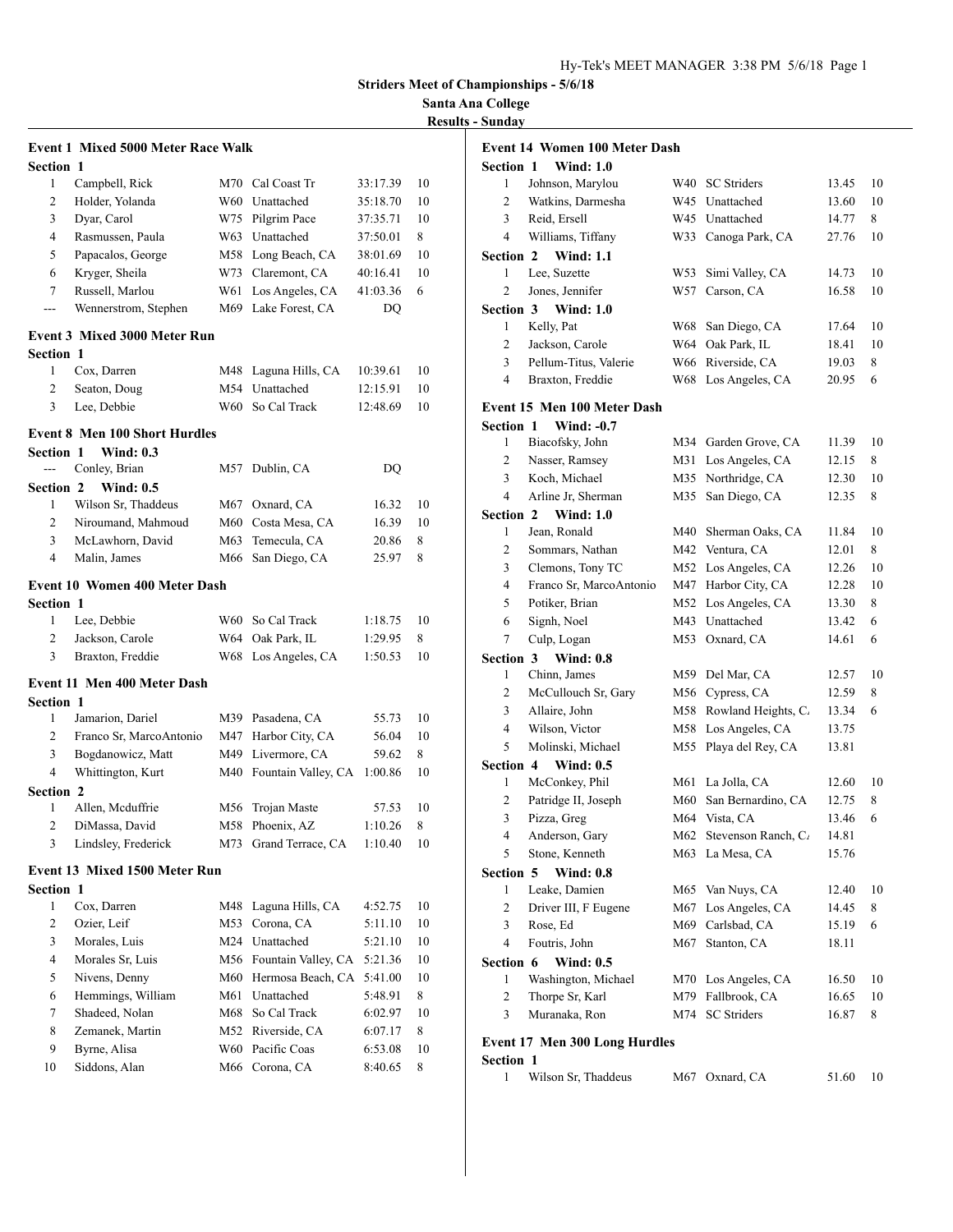## **Santa Ana College Results - Sunday**

|                  |                                           |     |                         |          | <b>Striders Meet of C</b> |
|------------------|-------------------------------------------|-----|-------------------------|----------|---------------------------|
|                  |                                           |     |                         |          | Santa A                   |
|                  |                                           |     |                         |          | <b>Results</b>            |
|                  | <b>Event 1 Mixed 5000 Meter Race Walk</b> |     |                         |          |                           |
| <b>Section 1</b> |                                           |     |                         |          |                           |
| 1                | Campbell, Rick                            |     | M70 Cal Coast Tr        | 33:17.39 | 10                        |
| 2                | Holder, Yolanda                           |     | W60 Unattached          | 35:18.70 | 10                        |
| 3                | Dyar, Carol                               |     | W75 Pilgrim Pace        | 37:35.71 | 10                        |
| $\overline{4}$   | Rasmussen, Paula                          |     | W63 Unattached          | 37:50.01 | 8                         |
| 5                | Papacalos, George                         |     | M58 Long Beach, CA      | 38:01.69 | 10                        |
| 6                | Kryger, Sheila                            |     | W73 Claremont, CA       | 40:16.41 | 10                        |
| 7                | Russell, Marlou                           |     | W61 Los Angeles, CA     | 41:03.36 | 6                         |
| $ -$             | Wennerstrom, Stephen                      |     | M69 Lake Forest, CA     | DQ       |                           |
|                  |                                           |     |                         |          |                           |
|                  | <b>Event 3 Mixed 3000 Meter Run</b>       |     |                         |          |                           |
| <b>Section 1</b> |                                           |     |                         |          |                           |
| 1                | Cox, Darren                               |     | M48 Laguna Hills, CA    | 10:39.61 | 10                        |
| 2                | Seaton, Doug                              |     | M54 Unattached          | 12:15.91 | 10                        |
| 3                | Lee, Debbie                               |     | W60 So Cal Track        | 12:48.69 | 10                        |
|                  | <b>Event 8 Men 100 Short Hurdles</b>      |     |                         |          |                           |
| <b>Section 1</b> | <b>Wind: 0.3</b>                          |     |                         |          |                           |
| $\overline{a}$   | Conley, Brian                             |     | M57 Dublin, CA          | DQ       |                           |
| <b>Section 2</b> | <b>Wind: 0.5</b>                          |     |                         |          |                           |
| 1                | Wilson Sr, Thaddeus                       |     | M67 Oxnard, CA          | 16.32    | 10                        |
| $\overline{2}$   | Niroumand, Mahmoud                        |     | M60 Costa Mesa, CA      | 16.39    | 10                        |
| 3                | McLawhorn, David                          |     | M63 Temecula, CA        | 20.86    | 8                         |
| 4                | Malin, James                              |     | M66 San Diego, CA       | 25.97    | 8                         |
|                  |                                           |     |                         |          |                           |
|                  | <b>Event 10 Women 400 Meter Dash</b>      |     |                         |          |                           |
| Section 1        |                                           |     |                         |          |                           |
| 1                | Lee, Debbie                               |     | W60 So Cal Track        | 1:18.75  | 10                        |
| 2                | Jackson, Carole                           |     | W64 Oak Park, IL        | 1:29.95  | 8                         |
| 3                | Braxton, Freddie                          |     | W68 Los Angeles, CA     | 1:50.53  | 10                        |
|                  | <b>Event 11 Men 400 Meter Dash</b>        |     |                         |          |                           |
| Section 1        |                                           |     |                         |          |                           |
| 1                | Jamarion, Dariel                          |     | M39 Pasadena, CA        | 55.73    | 10                        |
|                  | 2 Franco Sr, MarcoAntonio                 |     | M47 Harbor City, CA     | 56.04    | 10                        |
| 3                | Bogdanowicz, Matt                         |     | M49 Livermore, CA       | 59.62    | 8                         |
| 4                | Whittington, Kurt                         |     | M40 Fountain Valley, CA | 1:00.86  | 10                        |
| Section 2        |                                           |     |                         |          |                           |
| 1                | Allen, Mcduffrie                          | M56 | Trojan Maste            | 57.53    | 10                        |
| $\mathbf{2}$     | DiMassa, David                            | M58 | Phoenix, AZ             | 1:10.26  | 8                         |
| 3                | Lindsley, Frederick                       | M73 | Grand Terrace, CA       | 1:10.40  | 10                        |
|                  |                                           |     |                         |          |                           |
|                  | <b>Event 13 Mixed 1500 Meter Run</b>      |     |                         |          |                           |
| <b>Section 1</b> |                                           |     |                         |          |                           |
| 1                | Cox, Darren                               | M48 | Laguna Hills, CA        | 4:52.75  | 10                        |
| $\mathbf{2}$     | Ozier, Leif                               | M53 | Corona, CA              | 5:11.10  | 10                        |
| 3                | Morales, Luis                             |     | M24 Unattached          | 5:21.10  | 10                        |
| 4                | Morales Sr, Luis                          |     | M56 Fountain Valley, CA | 5:21.36  | 10                        |
| 5                | Nivens, Denny                             |     | M60 Hermosa Beach, CA   | 5:41.00  | 10                        |
| 6                | Hemmings, William                         | M61 | Unattached              | 5:48.91  | 8                         |
| $\tau$           | Shadeed, Nolan                            | M68 | So Cal Track            | 6:02.97  | 10                        |
| 8                | Zemanek, Martin                           | M52 | Riverside, CA           | 6:07.17  | 8                         |
| 9                | Byrne, Alisa                              | W60 | Pacific Coas            | 6:53.08  | 10                        |

Siddons, Alan M66 Corona, CA 8:40.65 8

| <b>Event 14 Women 100 Meter Dash</b> |                                      |       |                         |       |    |
|--------------------------------------|--------------------------------------|-------|-------------------------|-------|----|
| <b>Section 1</b>                     | <b>Wind: 1.0</b>                     |       |                         |       |    |
| 1                                    | Johnson, Marylou                     | W40   | <b>SC</b> Striders      | 13.45 | 10 |
| $\overline{2}$                       | Watkins, Darmesha                    |       | W45 Unattached          | 13.60 | 10 |
| 3                                    | Reid, Ersell                         |       | W45 Unattached          | 14.77 | 8  |
| $\overline{4}$                       | Williams, Tiffany                    |       | W33 Canoga Park, CA     | 27.76 | 10 |
| Section 2                            | <b>Wind: 1.1</b>                     |       |                         |       |    |
| 1                                    | Lee, Suzette                         | W53   | Simi Valley, CA         | 14.73 | 10 |
| $\overline{c}$                       | Jones, Jennifer                      | W57   | Carson, CA              | 16.58 | 10 |
| Section 3                            | <b>Wind: 1.0</b>                     |       |                         |       |    |
| 1                                    | Kelly, Pat                           | W68   | San Diego, CA           | 17.64 | 10 |
| 2                                    | Jackson, Carole                      | W64   | Oak Park, IL            | 18.41 | 10 |
| 3                                    | Pellum-Titus, Valerie                | W66   | Riverside, CA           | 19.03 | 8  |
| 4                                    | Braxton, Freddie                     | W68   | Los Angeles, CA         | 20.95 | 6  |
|                                      | Event 15 Men 100 Meter Dash          |       |                         |       |    |
| <b>Section 1</b>                     | Wind: -0.7                           |       |                         |       |    |
| 1                                    | Biacofsky, John                      |       | M34 Garden Grove, CA    | 11.39 | 10 |
| 2                                    | Nasser, Ramsey                       | M31   | Los Angeles, CA         | 12.15 | 8  |
| 3                                    | Koch, Michael                        | M35   | Northridge, CA          | 12.30 | 10 |
| 4                                    | Arline Jr, Sherman                   | M35   | San Diego, CA           | 12.35 | 8  |
| Section 2                            |                                      |       |                         |       |    |
| 1                                    | <b>Wind: 1.0</b><br>Jean, Ronald     | M40   | Sherman Oaks, CA        | 11.84 | 10 |
| 2                                    | Sommars, Nathan                      | M42   | Ventura, CA             | 12.01 | 8  |
| 3                                    | Clemons, Tony TC                     | M52   | Los Angeles, CA         | 12.26 | 10 |
| 4                                    |                                      | M47   | Harbor City, CA         | 12.28 | 10 |
|                                      | Franco Sr, MarcoAntonio              |       |                         |       |    |
| 5                                    | Potiker, Brian                       | M52   | Los Angeles, CA         | 13.30 | 8  |
| 6                                    | Signh, Noel                          |       | M43 Unattached          | 13.42 | 6  |
| 7                                    | Culp, Logan                          | M53   | Oxnard, CA              | 14.61 | 6  |
| Section 3<br>1                       | <b>Wind: 0.8</b>                     | M59   |                         | 12.57 | 10 |
| 2                                    | Chinn, James                         |       | Del Mar, CA             |       |    |
| 3                                    | McCullouch Sr, Gary                  | M56 - | Cypress, CA             | 12.59 | 8  |
| $\overline{4}$                       | Allaire, John<br>Wilson, Victor      | M58.  | Rowland Heights, C.     | 13.34 | 6  |
|                                      |                                      | M58   | Los Angeles, CA         | 13.75 |    |
| 5                                    | Molinski, Michael                    | M55   | Playa del Rey, CA       | 13.81 |    |
| Section 4                            | <b>Wind: 0.5</b>                     |       |                         |       |    |
| 1                                    | McConkey, Phil                       | M61   | La Jolla, CA            | 12.60 | 10 |
| $\overline{c}$                       | Patridge II, Joseph                  | M60   | San Bernardino, CA      | 12.75 | 8  |
| 3                                    | Pizza, Greg                          |       | M64 Vista, CA           | 13.46 | 6  |
| 4<br>5                               | Anderson, Gary                       |       | M62 Stevenson Ranch, C. | 14.81 |    |
|                                      | Stone, Kenneth                       |       | M63 La Mesa, CA         | 15.76 |    |
| Section 5                            | <b>Wind: 0.8</b>                     |       |                         |       |    |
| 1                                    | Leake, Damien                        | M65   | Van Nuys, CA            | 12.40 | 10 |
| 2                                    | Driver III, F Eugene                 | M67   | Los Angeles, CA         | 14.45 | 8  |
| 3                                    | Rose, Ed                             | M69   | Carlsbad, CA            | 15.19 | 6  |
| 4                                    | Foutris, John                        | M67   | Stanton, CA             | 18.11 |    |
| Section 6                            | <b>Wind: 0.5</b>                     |       |                         |       |    |
| 1                                    | Washington, Michael                  | M70   | Los Angeles, CA         | 16.50 | 10 |
| 2                                    | Thorpe Sr, Karl                      | M79   | Fallbrook, CA           | 16.65 | 10 |
| 3                                    | Muranaka, Ron                        | M74   | <b>SC</b> Striders      | 16.87 | 8  |
|                                      | <b>Event 17 Men 300 Long Hurdles</b> |       |                         |       |    |
| Section 1                            |                                      |       |                         |       |    |
| $\mathbf{1}$                         | Wilson Sr, Thaddeus                  |       | M67 Oxnard, CA          | 51.60 | 10 |
|                                      |                                      |       |                         |       |    |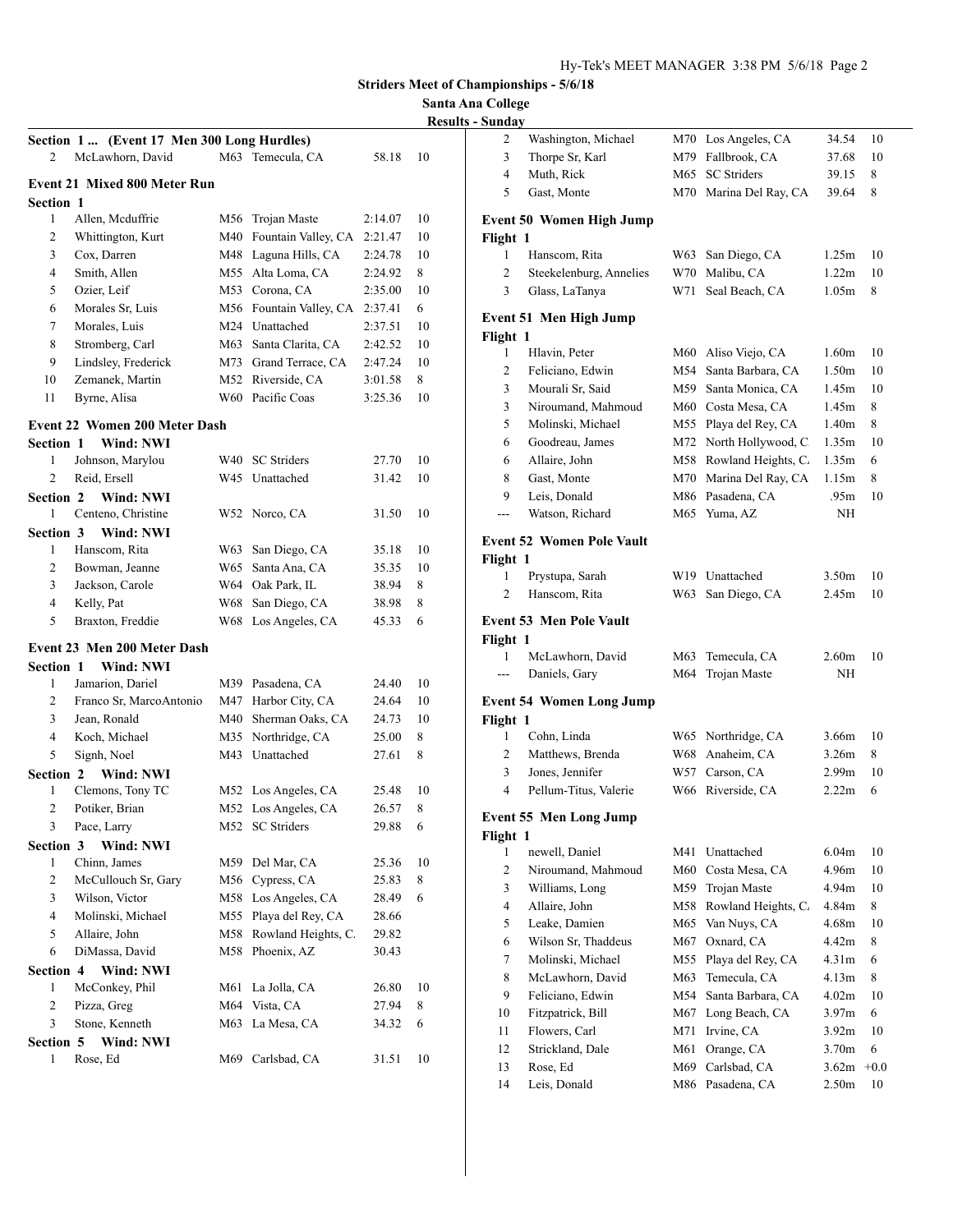## **Santa Ana College**

| <b>Results - Sunday</b> |  |  |
|-------------------------|--|--|
|                         |  |  |

| Section 1  (Event 17 Men 300 Long Hurdles) |                                      |     |                         |         |    |
|--------------------------------------------|--------------------------------------|-----|-------------------------|---------|----|
| 2                                          | McLawhorn, David                     |     | M63 Temecula, CA        | 58.18   | 10 |
|                                            | <b>Event 21 Mixed 800 Meter Run</b>  |     |                         |         |    |
| <b>Section 1</b>                           |                                      |     |                         |         |    |
| 1                                          | Allen, Mcduffrie                     | M56 | Trojan Maste            | 2:14.07 | 10 |
| 2                                          | Whittington, Kurt                    | M40 | Fountain Valley, CA     | 2:21.47 | 10 |
| 3                                          | Cox, Darren                          | M48 | Laguna Hills, CA        | 2:24.78 | 10 |
| 4                                          | Smith, Allen                         | M55 | Alta Loma, CA           | 2:24.92 | 8  |
| 5                                          | Ozier, Leif                          | M53 | Corona, CA              | 2:35.00 | 10 |
| 6                                          | Morales Sr, Luis                     |     | M56 Fountain Valley, CA | 2:37.41 | 6  |
| 7                                          | Morales, Luis                        |     | M24 Unattached          | 2:37.51 | 10 |
| 8                                          | Stromberg, Carl                      | M63 | Santa Clarita, CA       | 2:42.52 | 10 |
| 9                                          | Lindsley, Frederick                  | M73 | Grand Terrace, CA       | 2:47.24 | 10 |
| 10                                         | Zemanek, Martin                      | M52 | Riverside, CA           | 3:01.58 | 8  |
| 11                                         | Byrne, Alisa                         | W60 | Pacific Coas            | 3:25.36 | 10 |
|                                            |                                      |     |                         |         |    |
|                                            | <b>Event 22 Women 200 Meter Dash</b> |     |                         |         |    |
| <b>Section 1</b>                           | Wind: NWI                            |     |                         |         |    |
| 1                                          | Johnson, Marylou                     | W40 | <b>SC</b> Striders      | 27.70   | 10 |
| $\overline{c}$                             | Reid, Ersell                         | W45 | Unattached              | 31.42   | 10 |
| Section 2                                  | <b>Wind: NWI</b>                     |     |                         |         |    |
| 1                                          | Centeno, Christine                   | W52 | Norco, CA               | 31.50   | 10 |
| <b>Section 3</b>                           | Wind: NWI                            |     |                         |         |    |
| 1                                          | Hanscom, Rita                        | W63 | San Diego, CA           | 35.18   | 10 |
| 2                                          | Bowman, Jeanne                       | W65 | Santa Ana, CA           | 35.35   | 10 |
| 3                                          | Jackson, Carole                      | W64 | Oak Park, IL            | 38.94   | 8  |
| 4                                          | Kelly, Pat                           | W68 | San Diego, CA           | 38.98   | 8  |
| 5                                          | Braxton, Freddie                     | W68 | Los Angeles, CA         | 45.33   | 6  |
|                                            | Event 23 Men 200 Meter Dash          |     |                         |         |    |
| <b>Section 1</b>                           | Wind: NWI                            |     |                         |         |    |
| 1                                          | Jamarion, Dariel                     | M39 | Pasadena, CA            | 24.40   | 10 |
| 2                                          | Franco Sr, MarcoAntonio              | M47 | Harbor City, CA         | 24.64   | 10 |
| 3                                          | Jean, Ronald                         | M40 | Sherman Oaks, CA        | 24.73   | 10 |
| 4                                          | Koch, Michael                        | M35 | Northridge, CA          | 25.00   | 8  |
| 5                                          | Signh, Noel                          | M43 | Unattached              | 27.61   | 8  |
| Section 2                                  | Wind: NWI                            |     |                         |         |    |
| 1                                          | Clemons, Tony TC                     |     | M52 Los Angeles, CA     | 25.48   | 10 |
| 2                                          | Potiker, Brian                       |     | M52 Los Angeles, CA     | 26.57   | 8  |
| 3                                          | Pace, Larry                          |     | M52 SC Striders         | 29.88   | 6  |
| Section 3                                  | Wind: NWI                            |     |                         |         |    |
| 1                                          | Chinn, James                         | M59 | Del Mar, CA             | 25.36   | 10 |
| 2                                          | McCullouch Sr, Gary                  | M56 | Cypress, CA             | 25.83   | 8  |
| 3                                          | Wilson, Victor                       | M58 | Los Angeles, CA         | 28.49   | 6  |
| 4                                          | Molinski, Michael                    | M55 | Playa del Rey, CA       | 28.66   |    |
| 5                                          | Allaire, John                        | M58 | Rowland Heights, C.     | 29.82   |    |
| 6                                          | DiMassa, David                       | M58 | Phoenix, AZ             | 30.43   |    |
| Section 4                                  | Wind: NWI                            |     |                         |         |    |
| 1                                          | McConkey, Phil                       | M61 | La Jolla, CA            | 26.80   | 10 |
| $\overline{c}$                             | Pizza, Greg                          | M64 | Vista, CA               | 27.94   | 8  |
| 3                                          | Stone, Kenneth                       | M63 | La Mesa, CA             | 34.32   | 6  |
| Section 5                                  | Wind: NWI                            |     |                         |         |    |
| 1                                          | Rose, Ed                             | M69 | Carlsbad, CA            | 31.51   | 10 |
|                                            |                                      |     |                         |         |    |

|               | Washington, Michael              | M70 | Los Angeles, CA     | 34.54             | 10     |
|---------------|----------------------------------|-----|---------------------|-------------------|--------|
| 3             | Thorpe Sr, Karl                  | M79 | Fallbrook, CA       | 37.68             | 10     |
| 4             | Muth, Rick                       | M65 | <b>SC</b> Striders  | 39.15             | 8      |
| 5             | Gast, Monte                      | M70 | Marina Del Ray, CA  | 39.64             | 8      |
|               |                                  |     |                     |                   |        |
|               | <b>Event 50 Women High Jump</b>  |     |                     |                   |        |
| Flight 1<br>1 | Hanscom, Rita                    | W63 | San Diego, CA       | 1.25m             | 10     |
| 2             | Steekelenburg, Annelies          | W70 | Malibu, CA          | 1.22m             | 10     |
| 3             | Glass, LaTanya                   | W71 | Seal Beach, CA      | 1.05m             | 8      |
|               |                                  |     |                     |                   |        |
|               | Event 51 Men High Jump           |     |                     |                   |        |
| Flight 1      |                                  |     |                     |                   |        |
| 1             | Hlavin, Peter                    |     | M60 Aliso Viejo, CA | 1.60m             | 10     |
| 2             | Feliciano, Edwin                 | M54 | Santa Barbara, CA   | 1.50 <sub>m</sub> | 10     |
| 3             | Mourali Sr, Said                 | M59 | Santa Monica, CA    | 1.45m             | 10     |
| 3             | Niroumand, Mahmoud               |     | M60 Costa Mesa, CA  | 1.45m             | 8      |
| 5             | Molinski, Michael                | M55 | Playa del Rey, CA   | 1.40 <sub>m</sub> | 8      |
| 6             | Goodreau, James                  | M72 | North Hollywood, C. | 1.35m             | 10     |
| 6             | Allaire, John                    | M58 | Rowland Heights, C. | 1.35m             | 6      |
| 8             | Gast, Monte                      | M70 | Marina Del Ray, CA  | 1.15m             | 8      |
| 9             | Leis, Donald                     | M86 | Pasadena, CA        | .95m              | 10     |
| ---           | Watson, Richard                  | M65 | Yuma, AZ            | ΝH                |        |
|               | <b>Event 52 Women Pole Vault</b> |     |                     |                   |        |
| Flight 1      |                                  |     |                     |                   |        |
| 1             | Prystupa, Sarah                  |     | W19 Unattached      | 3.50 <sub>m</sub> | 10     |
| 2             | Hanscom, Rita                    | W63 | San Diego, CA       | 2.45m             | 10     |
|               |                                  |     |                     |                   |        |
|               | <b>Event 53 Men Pole Vault</b>   |     |                     |                   |        |
| Flight 1<br>1 | McLawhorn, David                 | M63 | Temecula, CA        | 2.60m             | 10     |
| ---           | Daniels, Gary                    | M64 | Trojan Maste        | ΝH                |        |
|               |                                  |     |                     |                   |        |
|               |                                  |     |                     |                   |        |
|               | <b>Event 54 Women Long Jump</b>  |     |                     |                   |        |
| Flight 1      |                                  |     |                     |                   |        |
| 1             | Cohn, Linda                      |     | W65 Northridge, CA  | 3.66m             | 10     |
| 2             | Matthews, Brenda                 | W68 | Anaheim, CA         | 3.26m             | 8      |
| 3             | Jones, Jennifer                  | W57 | Carson, CA          | 2.99m             | 10     |
| 4             | Pellum-Titus, Valerie            | W66 | Riverside, CA       | 2.22m             | 6      |
|               |                                  |     |                     |                   |        |
|               | <b>Event 55 Men Long Jump</b>    |     |                     |                   |        |
| Flight 1<br>1 | newell, Daniel                   | M41 | Unattached          | 6.04m             | 10     |
| $\mathbf{2}$  | Niroumand, Mahmoud               | M60 | Costa Mesa, CA      | 4.96m             | 10     |
| 3             | Williams, Long                   | M59 | Trojan Maste        | 4.94m             | 10     |
| 4             | Allaire, John                    | M58 | Rowland Heights, C. | 4.84m             | 8      |
| 5             | Leake, Damien                    | M65 | Van Nuys, CA        | 4.68m             | 10     |
| 6             | Wilson Sr, Thaddeus              | M67 | Oxnard, CA          | 4.42m             | 8      |
| $\tau$        | Molinski, Michael                | M55 | Playa del Rey, CA   | 4.31m             | 6      |
| 8             | McLawhorn, David                 | M63 | Temecula, CA        | 4.13m             | 8      |
| 9             | Feliciano, Edwin                 | M54 | Santa Barbara, CA   | 4.02m             | 10     |
| 10            | Fitzpatrick, Bill                | M67 | Long Beach, CA      | 3.97 <sub>m</sub> | 6      |
| 11            | Flowers, Carl                    | M71 | Irvine, CA          | 3.92 <sub>m</sub> | 10     |
| 12            | Strickland, Dale                 | M61 | Orange, CA          | 3.70 <sub>m</sub> | 6      |
| 13            | Rose, Ed                         | M69 | Carlsbad, CA        | 3.62m             | $+0.0$ |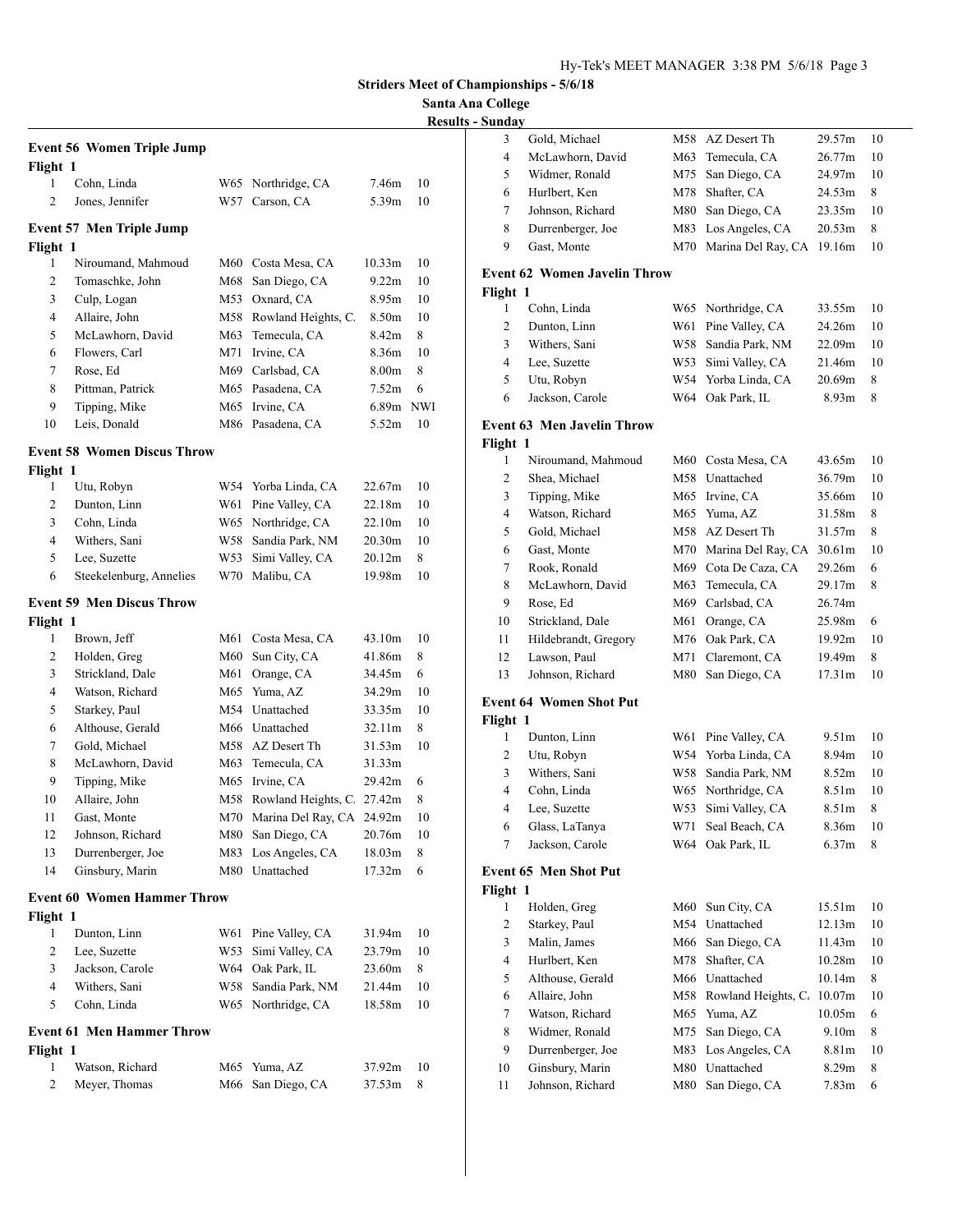**Santa Ana College**

| Flight 1       | <b>Event 56 Women Triple Jump</b>  |      |                     |                    |            |
|----------------|------------------------------------|------|---------------------|--------------------|------------|
| 1              | Cohn, Linda                        | W65  | Northridge, CA      | 7.46m              | 10         |
| $\overline{c}$ | Jones, Jennifer                    | W57  | Carson, CA          | 5.39m              | 10         |
|                |                                    |      |                     |                    |            |
| Flight 1       | <b>Event 57 Men Triple Jump</b>    |      |                     |                    |            |
| 1              | Niroumand, Mahmoud                 |      | M60 Costa Mesa, CA  | 10.33 <sub>m</sub> | 10         |
| 2              | Tomaschke, John                    | M68  | San Diego, CA       | 9.22m              | 10         |
| 3              | Culp, Logan                        | M53  | Oxnard, CA          | 8.95m              | 10         |
| 4              | Allaire, John                      | M58. | Rowland Heights, C. | 8.50 <sub>m</sub>  | 10         |
| 5              | McLawhorn, David                   | M63  | Temecula, CA        | 8.42 <sub>m</sub>  | 8          |
| 6              | Flowers, Carl                      | M71  | Irvine, CA          | 8.36m              | 10         |
| 7              | Rose, Ed                           |      | M69 Carlsbad, CA    | 8.00m              | 8          |
| 8              | Pittman, Patrick                   |      | M65 Pasadena, CA    | 7.52 <sub>m</sub>  | 6          |
| 9              | Tipping, Mike                      | M65  | Irvine, CA          | 6.89m              | <b>NWI</b> |
| 10             | Leis, Donald                       | M86  | Pasadena, CA        | 5.52m              | 10         |
|                | <b>Event 58 Women Discus Throw</b> |      |                     |                    |            |
| Flight 1       |                                    |      |                     |                    |            |
| 1              | Utu, Robyn                         |      | W54 Yorba Linda, CA | 22.67m             | 10         |
| $\overline{2}$ | Dunton, Linn                       | W61  | Pine Valley, CA     | 22.18m             | 10         |
| 3              | Cohn, Linda                        | W65  | Northridge, CA      | 22.10m             | 10         |
| 4              | Withers, Sani                      |      | W58 Sandia Park, NM | 20.30m             | 10         |
| 5              | Lee, Suzette                       | W53  | Simi Valley, CA     | 20.12m             | 8          |
| 6              | Steekelenburg, Annelies            |      | W70 Malibu, CA      | 19.98m             | 10         |
|                | <b>Event 59 Men Discus Throw</b>   |      |                     |                    |            |
| Flight 1       |                                    |      |                     |                    |            |
| 1              | Brown, Jeff                        | M61  | Costa Mesa, CA      | 43.10m             | 10         |
| 2              | Holden, Greg                       | M60  | Sun City, CA        | 41.86m             | 8          |
| 3              | Strickland, Dale                   | M61  | Orange, CA          | 34.45m             | 6          |
| 4              | Watson, Richard                    | M65  | Yuma, AZ            | 34.29m             | 10         |
| 5              | Starkey, Paul                      | M54  | Unattached          | 33.35m             | 10         |
| 6              | Althouse, Gerald                   | M66  | Unattached          | 32.11m             | 8          |
| 7              | Gold, Michael                      | M58  | AZ Desert Th        | 31.53m             | 10         |
| 8              | McLawhorn, David                   | M63  | Temecula, CA        | 31.33m             |            |
| 9              | Tipping, Mike                      | M65  | Irvine, CA          | 29.42m             | 6          |
| 10             | Allaire, John                      | M58  | Rowland Heights, C. | 27.42m             | 8          |
| 11             | Gast. Monte                        | M70  | Marina Del Ray, CA  | 24.92m             | 10         |
| 12             | Johnson, Richard                   | M80  | San Diego, CA       | 20.76m             | 10         |
| 13             | Durrenberger, Joe                  | M83  | Los Angeles, CA     | 18.03m             | 8          |
| 14             | Ginsbury, Marin                    | M80  | Unattached          | 17.32m             | 6          |
|                | <b>Event 60 Women Hammer Throw</b> |      |                     |                    |            |
| Flight 1       |                                    |      |                     |                    |            |
| 1              | Dunton, Linn                       | W61  | Pine Valley, CA     | 31.94m             | 10         |
| 2              | Lee, Suzette                       | W53  | Simi Valley, CA     | 23.79m             | 10         |
| 3              | Jackson, Carole                    | W64  | Oak Park, IL        | 23.60m             | 8          |
| 4              | Withers, Sani                      | W58  | Sandia Park, NM     | 21.44m             | 10         |
| 5              | Cohn, Linda                        | W65  | Northridge, CA      | 18.58m             | 10         |
|                | <b>Event 61 Men Hammer Throw</b>   |      |                     |                    |            |
| Flight 1       |                                    |      |                     |                    |            |
| 1              | Watson, Richard                    | M65  | Yuma, AZ            | 37.92m             | 10         |
| 2              | Meyer, Thomas                      | M66  | San Diego, CA       | 37.53m             | 8          |

| Sunday   |                                     |     |                           |        |    |
|----------|-------------------------------------|-----|---------------------------|--------|----|
| 3        | Gold, Michael                       |     | M58 AZ Desert Th          | 29.57m | 10 |
| 4        | McLawhorn, David                    |     | M63 Temecula, CA          | 26.77m | 10 |
| 5        | Widmer, Ronald                      | M75 | San Diego, CA             | 24.97m | 10 |
| 6        | Hurlbert, Ken                       | M78 | Shafter, CA               | 24.53m | 8  |
| 7        | Johnson, Richard                    | M80 | San Diego, CA             | 23.35m | 10 |
| 8        | Durrenberger, Joe                   | M83 | Los Angeles, CA           | 20.53m | 8  |
| 9        | Gast, Monte                         | M70 | Marina Del Ray, CA 19.16m |        | 10 |
|          |                                     |     |                           |        |    |
|          | <b>Event 62 Women Javelin Throw</b> |     |                           |        |    |
| Flight 1 |                                     |     |                           |        |    |
| 1        | Cohn, Linda                         |     | W65 Northridge, CA        | 33.55m | 10 |
| 2        | Dunton, Linn                        |     | W61 Pine Valley, CA       | 24.26m | 10 |
| 3        | Withers, Sani                       |     | W58 Sandia Park, NM       | 22.09m | 10 |
| 4        | Lee, Suzette                        |     | W53 Simi Valley, CA       | 21.46m | 10 |
| 5        | Utu, Robyn                          |     | W54 Yorba Linda, CA       | 20.69m | 8  |
| 6        | Jackson, Carole                     |     | W64 Oak Park, IL          | 8.93m  | 8  |
|          | <b>Event 63 Men Javelin Throw</b>   |     |                           |        |    |
| Flight 1 |                                     |     |                           |        |    |
| 1        | Niroumand, Mahmoud                  |     | M60 Costa Mesa, CA        | 43.65m | 10 |
| 2        | Shea, Michael                       |     | M58 Unattached            | 36.79m | 10 |
| 3        | Tipping, Mike                       |     | M65 Irvine, CA            | 35.66m | 10 |
| 4        | Watson, Richard                     |     | M65 Yuma, AZ              | 31.58m | 8  |
| 5        | Gold, Michael                       |     | M58 AZ Desert Th          | 31.57m | 8  |
| 6        | Gast, Monte                         |     | M70 Marina Del Ray, CA    | 30.61m | 10 |
| 7        | Rook, Ronald                        |     | M69 Cota De Caza, CA      | 29.26m | 6  |
| 8        | McLawhorn, David                    | M63 | Temecula, CA              | 29.17m | 8  |
| 9        | Rose, Ed                            |     | M69 Carlsbad, CA          | 26.74m |    |
| 10       | Strickland, Dale                    | M61 | Orange, CA                | 25.98m | 6  |
| 11       | Hildebrandt, Gregory                |     | M76 Oak Park, CA          | 19.92m | 10 |
| 12       | Lawson, Paul                        | M71 | Claremont, CA             | 19.49m | 8  |
| 13       | Johnson, Richard                    | M80 | San Diego, CA             | 17.31m | 10 |
|          |                                     |     |                           |        |    |
|          | <b>Event 64 Women Shot Put</b>      |     |                           |        |    |
| Flight 1 |                                     |     |                           |        |    |
| 1        | Dunton, Linn                        |     | W61 Pine Valley, CA       | 9.51m  | 10 |
| 2        | Utu, Robyn                          |     | W54 Yorba Linda, CA       | 8.94m  | 10 |
| 3        | Withers, Sani                       |     | W58 Sandia Park, NM       | 8.52m  | 10 |
| 4        | Cohn, Linda                         |     | W65 Northridge, CA        | 8.51m  | 10 |
| 4        | Lee, Suzette                        | W53 | Simi Valley, CA           | 8.51m  | 8  |
| 6        | Glass, LaTanya                      | W71 | Seal Beach, CA            | 8.36m  | 10 |
| 7        | Jackson, Carole                     | W64 | Oak Park, IL              | 6.37m  | 8  |
|          | <b>Event 65 Men Shot Put</b>        |     |                           |        |    |
| Flight 1 |                                     |     |                           |        |    |
| 1        | Holden, Greg                        | M60 | Sun City, CA              | 15.51m | 10 |
| 2        | Starkey, Paul                       | M54 | Unattached                | 12.13m | 10 |
| 3        | Malin, James                        | M66 | San Diego, CA             | 11.43m | 10 |
| 4        | Hurlbert, Ken                       | M78 | Shafter, CA               | 10.28m | 10 |
| 5        | Althouse, Gerald                    |     | M66 Unattached            | 10.14m | 8  |
| 6        | Allaire, John                       | M58 | Rowland Heights, C.       | 10.07m | 10 |
| 7        | Watson, Richard                     | M65 | Yuma, AZ                  | 10.05m | 6  |
| 8        | Widmer, Ronald                      | M75 | San Diego, CA             | 9.10m  | 8  |
| 9        | Durrenberger, Joe                   | M83 | Los Angeles, CA           | 8.81m  | 10 |
| 10       | Ginsbury, Marin                     | M80 | Unattached                | 8.29m  | 8  |
| 11       | Johnson, Richard                    | M80 | San Diego, CA             | 7.83m  | 6  |
|          |                                     |     |                           |        |    |
|          |                                     |     |                           |        |    |